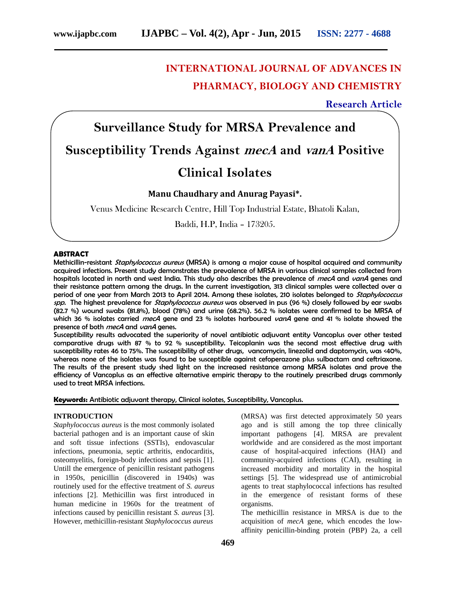# **INTERNATIONAL JOURNAL OF ADVANCES IN PHARMACY, BIOLOGY AND CHEMISTRY**

## **Research Article**

# **Surveillance Study for MRSA Prevalence and Susceptibility Trends Against** *mecA* **and** *vanA* **Positive**

# **Clinical Isolates**

## **Manu Chaudhary and Anurag Payasi\*.**

Venus Medicine Research Centre, Hill Top Industrial Estate, Bhatoli Kalan,

Baddi, H.P, India – 173205.

#### ABSTRACT

Methicillin-resistant *Staphylococcus aureus* (MRSA) is among a major cause of hospital acquired and community acquired infections. Present study demonstrates the prevalence of MRSA in various clinical samples collected from hospitals located in north and west India. This study also describes the prevalence of *mecA* and *vanA* genes and their resistance pattern among the drugs. In the current investigation, 313 clinical samples were collected over a period of one year from March 2013 to April 2014. Among these isolates, 210 isolates belonged to *Staphylococcus spp.* The highest prevalence for *Staphylococcus aureus* was observed in pus (96 %) closely followed by ear swabs (82.7 %) wound swabs (81.8%), blood (78%) and urine (68.2%). 56.2 % isolates were confirmed to be MRSA of which 36 % isolates carried *mecA* gene and 23 % isolates harboured *vanA* gene and 41 % isolate showed the presence of both *mecA* and *vanA* genes.

Susceptibility results advocated the superiority of novel antibiotic adjuvant entity Vancoplus over other tested comparative drugs with 87 % to 92 % susceptibility. Teicoplanin was the second most effective drug with susceptibility rates 46 to 75%. The susceptibility of other drugs, vancomycin, linezolid and daptomycin, was <40%, whereas none of the isolates was found to be susceptible against cefoperazone plus sulbactam and ceftriaxone. The results of the present study shed light on the increased resistance among MRSA isolates and prove the efficiency of Vancoplus as an effective alternative empiric therapy to the routinely prescribed drugs commonly used to treat MRSA infections.

Keywords: Antibiotic adjuvant therapy, Clinical isolates, Susceptibility, Vancoplus.

#### **INTRODUCTION**

*Staphylococcus aureus* is the most commonly isolated bacterial pathogen and is an important cause of skin and soft tissue infections (SSTIs), endovascular infections, pneumonia, septic arthritis, endocarditis, osteomyelitis, foreign-body infections and sepsis [1]. Untill the emergence of penicillin resistant pathogens in 1950s, penicillin (discovered in 1940s) was routinely used for the effective treatment of *S. aureus* infections [2]. Methicillin was first introduced in human medicine in 1960s for the treatment of infections caused by penicillin resistant *S. aureus* [3]. However, methicillin-resistant *Staphylococcus aureus*

(MRSA) was first detected approximately 50 years ago and is still among the top three clinically important pathogens [4]. MRSA are prevalent worldwide and are considered as the most important cause of hospital-acquired infections (HAI) and community-acquired infections (CAI), resulting in increased morbidity and mortality in the hospital settings [5]. The widespread use of antimicrobial agents to treat staphylococcal infections has resulted in the emergence of resistant forms of these organisms.

The methicillin resistance in MRSA is due to the acquisition of *mecA* gene, which encodes the low affinity penicillin-binding protein (PBP) 2a, a cell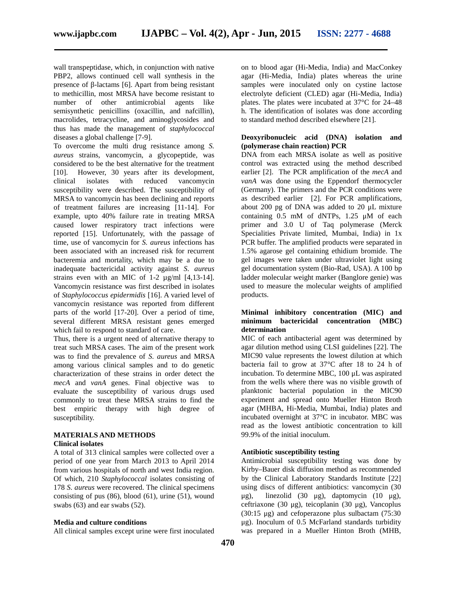wall transpeptidase, which, in conjunction with native PBP2, allows continued cell wall synthesis in the presence of -lactams [6]. Apart from being resistant to methicillin, most MRSA have become resistant to number of other antimicrobial agents like semisynthetic penicillins (oxacillin, and nafcillin), macrolides, tetracycline, and aminoglycosides and thus has made the management of *staphylococcal* diseases a global challenge [7-9].

To overcome the multi drug resistance among *S. aureus* strains, vancomycin, a glycopeptide, was considered to be the best alternative for the treatment [10]. However, 30 years after its development, clinical isolates with reduced vancomycin susceptibility were described. The susceptibility of MRSA to vancomycin has been declining and reports of treatment failures are increasing [11-14]. For example, upto 40% failure rate in treating MRSA caused lower respiratory tract infections were reported [15]. Unfortunately, with the passage of time, use of vancomycin for *S. aureus* infections has been associated with an increased risk for recurrent bacteremia and mortality, which may be a due to inadequate bactericidal activity against *S. aureus* strains even with an MIC of 1-2 µg/ml [4,13-14]. Vancomycin resistance was first described in isolates of *Staphylococcus epidermidis* [16]. A varied level of vancomycin resistance was reported from different parts of the world [17-20]. Over a period of time, several different MRSA resistant genes emerged which fail to respond to standard of care.

Thus, there is a urgent need of alternative therapy to treat such MRSA cases. The aim of the present work was to find the prevalence of *S. aureus* and MRSA among various clinical samples and to do genetic characterization of these strains in order detect the *mecA* and *vanA* genes. Final objective was to evaluate the susceptibility of various drugs used commonly to treat these MRSA strains to find the best empiric therapy with high degree of susceptibility.

## **MATERIALS AND METHODS**

#### **Clinical isolates**

A total of 313 clinical samples were collected over a period of one year from March 2013 to April 2014 from various hospitals of north and west India region. Of which, 210 *Staphylococcal* isolates consisting of 178 *S. aureus* were recovered. The clinical specimens consisting of pus  $(86)$ , blood  $(61)$ , urine  $(51)$ , wound  $\mu$ g), swabs (63) and ear swabs (52).

#### **Media and culture conditions**

All clinical samples except urine were first inoculated

on to blood agar (Hi-Media, India) and MacConkey agar (Hi-Media, India) plates whereas the urine samples were inoculated only on cystine lactose electrolyte deficient (CLED) agar (Hi-Media, India) plates. The plates were incubated at 37°C for 24–48 h. The identification of isolates was done according to standard method described elsewhere [21].

#### **Deoxyribonucleic acid (DNA) isolation and (polymerase chain reaction) PCR**

DNA from each MRSA isolate as well as positive control was extracted using the method described earlier [2]. The PCR amplification of the *mecA* and *vanA* was done using the Eppendorf thermocycler (Germany). The primers and the PCR conditions were as described earlier [2]. For PCR amplifications, about 200 pg of DNA was added to 20 μL mixture containing 0.5 mM of dNTPs, 1.25 μM of each primer and 3.0 U of Taq polymerase (Merck Specialities Private limited, Mumbai, India) in 1x PCR buffer. The amplified products were separated in 1.5% agarose gel containing ethidium bromide. The gel images were taken under ultraviolet light using gel documentation system (Bio-Rad, USA). A 100 bp ladder molecular weight marker (Banglore genie) was used to measure the molecular weights of amplified products.

#### **Minimal inhibitory concentration (MIC) and minimum bactericidal concentration (MBC) determination**

MIC of each antibacterial agent was determined by agar dilution method using CLSI guidelines [22]. The MIC90 value represents the lowest dilution at which bacteria fail to grow at 37°C after 18 to 24 h of incubation. To determine MBC, 100 μL was aspirated from the wells where there was no visible growth of planktonic bacterial population in the MIC90 experiment and spread onto Mueller Hinton Broth agar (MHBA, Hi-Media, Mumbai, India) plates and incubated overnight at 37°C in incubator. MBC was read as the lowest antibiotic concentration to kill 99.9% of the initial inoculum.

#### **Antibiotic susceptibility testing**

Antimicrobial susceptibility testing was done by Kirby–Bauer disk diffusion method as recommended by the Clinical Laboratory Standards Institute [22] using discs of different antibiotics: vancomycin (30 linezolid (30 μg), daptomycin (10 μg), ceftriaxone (30 μg), teicoplanin (30 μg), Vancoplus  $(30:15 \text{ µg})$  and cefoperazone plus sulbactam  $(75:30)$ μg). Inoculum of 0.5 McFarland standards turbidity was prepared in a Mueller Hinton Broth (MHB,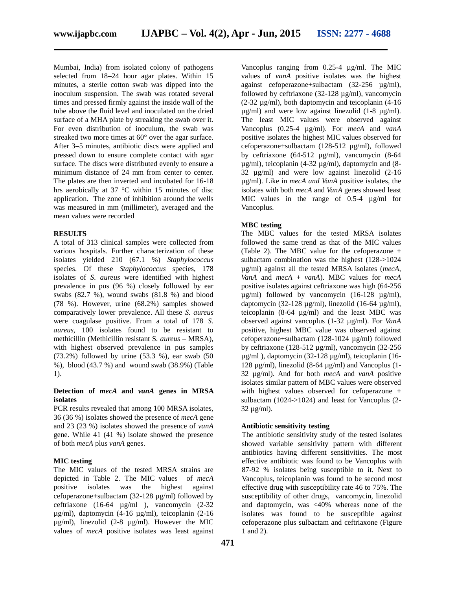Mumbai, India) from isolated colony of pathogens selected from 18–24 hour agar plates. Within 15 minutes, a sterile cotton swab was dipped into the inoculum suspension. The swab was rotated several times and pressed firmly against the inside wall of the tube above the fluid level and inoculated on the dried surface of a MHA plate by streaking the swab over it. For even distribution of inoculum, the swab was streaked two more times at 60° over the agar surface. After 3–5 minutes, antibiotic discs were applied and pressed down to ensure complete contact with agar surface. The discs were distributed evenly to ensure a minimum distance of 24 mm from center to center. The plates are then inverted and incubated for 16-18 hrs aerobically at 37 °C within 15 minutes of disc application. The zone of inhibition around the wells was measured in mm (millimeter), averaged and the mean values were recorded

#### **RESULTS**

A total of 313 clinical samples were collected from various hospitals. Further characterization of these isolates yielded 210 (67.1 %) *Staphylococcus* species. Of these *Staphylococcus* species, 178 isolates of *S. aureus* were identified with highest prevalence in pus (96 %) closely followed by ear swabs  $(82.7 \%)$ , wound swabs  $(81.8 \%)$  and blood (78 %). However, urine (68.2%) samples showed comparatively lower prevalence. All these *S. aureus* were coagulase positive. From a total of 178 *S. aureus,* 100 isolates found to be resistant to methicillin (Methicillin resistant S*. aureus* – MRSA), with highest observed prevalence in pus samples (73.2%) followed by urine (53.3 %), ear swab (50 %), blood (43.7 %) and wound swab (38.9%) (Table 1).

#### **Detection of** *mecA* **and** *vanA* **genes in MRSA isolates**

PCR results revealed that among 100 MRSA isolates, 36 (36 %) isolates showed the presence of *mecA* gene and 23 (23 %) isolates showed the presence of *vanA* gene. While 41 (41 %) isolate showed the presence of both *mecA* plus *vanA* genes.

#### **MIC testing**

The MIC values of the tested MRSA strains are depicted in Table 2. The MIC values of *mecA* positive isolates was the highest against cefoperazone+sulbactam (32-128 µg/ml) followed by ceftriaxone (16-64 µg/ml ), vancomycin (2-32 µg/ml), daptomycin (4-16 µg/ml), teicoplanin (2-16 µg/ml), linezolid (2-8 µg/ml). However the MIC values of *mecA* positive isolates was least against

Vancoplus ranging from 0.25-4 µg/ml. The MIC values of *vanA* positive isolates was the highest against cefoperazone+sulbactam (32-256 µg/ml), followed by ceftriaxone  $(32-128 \mu g/ml)$ , vancomycin (2-32 µg/ml), both daptomycin and teicoplanin (4-16  $\mu$ g/ml) and were low against linezolid (1-8  $\mu$ g/ml). The least MIC values were observed against Vancoplus (0.25-4 µg/ml). For *mecA* and *vanA* positive isolates the highest MIC values observed for cefoperazone+sulbactam (128-512 µg/ml), followed by ceftriaxone (64-512 µg/ml), vancomycin (8-64 µg/ml), teicoplanin (4-32 µg/ml), daptomycin and (8- 32 µg/ml) and were low against linezolid (2-16 µg/ml). Like in *mecA and VanA* positive isolates, the isolates with both *mecA* and *VanA* genes showed least MIC values in the range of 0.5-4  $\mu$ g/ml for Vancoplus.

#### **MBC testing**

The MBC values for the tested MRSA isolates followed the same trend as that of the MIC values (Table 2). The MBC value for the cefoperazone + sulbactam combination was the highest (128->1024 µg/ml) against all the tested MRSA isolates (*mecA*, *VanA* and *mecA* + *vanA*). MBC values for *mecA* positive isolates against ceftriaxone was high (64-256  $\mu$ g/ml) followed by vancomycin (16-128  $\mu$ g/ml), daptomycin (32-128  $\mu$ g/ml), linezolid (16-64  $\mu$ g/ml), teicoplanin (8-64 µg/ml) and the least MBC was observed against vancoplus (1-32 µg/ml). For *VanA* positive, highest MBC value was observed against cefoperazone+sulbactam (128-1024 µg/ml) followed by ceftriaxone (128-512 µg/ml), vancomycin (32-256 µg/ml ), daptomycin (32-128 µg/ml), teicoplanin (16- 128 µg/ml), linezolid (8-64 µg/ml) and Vancoplus (1- 32 µg/ml). And for both *mecA* and *vanA* positive isolates similar pattern of MBC values were observed with highest values observed for cefoperazone + sulbactam (1024->1024) and least for Vancoplus (2-  $32 \mu$ g/ml).

#### **Antibiotic sensitivity testing**

The antibiotic sensitivity study of the tested isolates showed variable sensitivity pattern with different antibiotics having different sensitivities. The most effective antibiotic was found to be Vancoplus with 87-92 % isolates being susceptible to it. Next to Vancoplus, teicoplanin was found to be second most effective drug with susceptibility rate 46 to 75%. The susceptibility of other drugs, vancomycin, linezolid and daptomycin, was  $\langle 40\%$  whereas none of the isolates was found to be susceptible against cefoperazone plus sulbactam and ceftriaxone (Figure 1 and 2).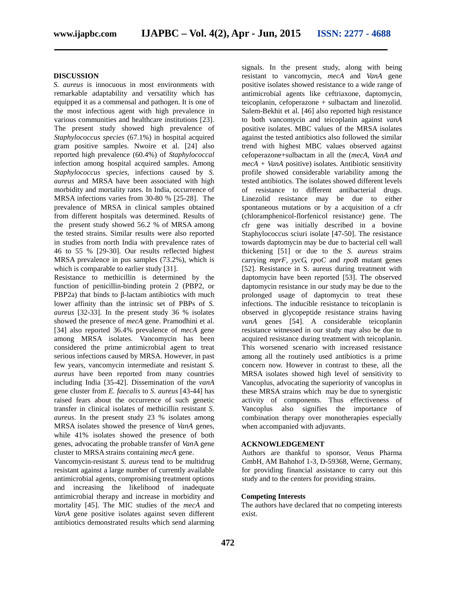#### **DISCUSSION**

*S. aureus* is innocuous in most environments with remarkable adaptability and versatility which has equipped it as a commensal and pathogen. It is one of the most infectious agent with high prevalence in various communities and healthcare institutions [23]. The present study showed high prevalence of *Staphylococcus species* (67.1%) in hospital acquired gram positive samples. Nwoire et al. [24] also reported high prevalence (60.4%) of *Staphylococcal* infection among hospital acquired samples. Among *Staphylococcus species,* infections caused by *S. aureus* and MRSA have been associated with high morbidity and mortality rates. In India, occurrence of MRSA infections varies from 30-80 % [25-28]. The prevalence of MRSA in clinical samples obtained from different hospitals was determined. Results of the present study showed 56.2 % of MRSA among the tested strains. Similar results were also reported in studies from north India with prevalence rates of 46 to 55 % [29-30]. Our results reflected highest MRSA prevalence in pus samples (73.2%), which is which is comparable to earlier study [31].

Resistance to methicillin is determined by the function of penicillin-binding protein 2 (PBP2, or PBP2a) that binds to -lactam antibiotics with much lower affinity than the intrinsic set of PBPs of *S. aureus* [32-33]. In the present study 36 % isolates showed the presence of *mecA* gene. Pramodhini et al. [34] also reported 36.4% prevalence of *mecA* gene among MRSA isolates. Vancomycin has been considered the prime antimicrobial agent to treat serious infections caused by MRSA. However, in past few years, vancomycin intermediate and resistant *S. aureus* have been reported from many countries including India [35-42]. Dissemination of the *vanA* gene cluster from *E. faecalis* to *S. aureus* [43-44] has raised fears about the occurrence of such genetic transfer in clinical isolates of methicillin resistant *S. aureus*. In the present study 23 % isolates among MRSA isolates showed the presence of *VanA* genes, while 41% isolates showed the presence of both genes, advocating the probable transfer of *Van*A gene cluster to MRSA strains containing *mecA* gene.

Vancomycin-resistant *S. aureus* tend to be multidrug resistant against a large number of currently available antimicrobial agents, compromising treatment options and increasing the likelihood of inadequate antimicrobial therapy and increase in morbidity and mortality [45]. The MIC studies of the *mecA* and *VanA* gene positive isolates against seven different antibiotics demonstrated results which send alarming

signals. In the present study, along with being resistant to vancomycin, *mecA* and *VanA* gene positive isolates showed resistance to a wide range of antimicrobial agents like ceftriaxone, daptomycin, teicoplanin, cefoperazone + sulbactam and linezolid. Salem-Bekhit et al. [46] also reported high resistance to both vancomycin and teicoplanin against *vanA* positive isolates. MBC values of the MRSA isolates against the tested antibiotics also followed the similar trend with highest MBC values observed against cefoperazone+sulbactam in all the (*mecA, VanA and mecA + VanA* positive) isolates. Antibiotic sensitivity profile showed considerable variability among the tested antibiotics. The isolates showed different levels of resistance to different antibacterial drugs. Linezolid resistance may be due to either spontaneous mutations or by a acquisition of a cfr (chloramphenicol-florfenicol resistance) gene. The cfr gene was initially described in a bovine Staphylococcus sciuri isolate [47-50]. The resistance towards daptomycin may be due to bacterial cell wall thickening [51] or due to the *S. aureus* strains carrying *mprF*, *yycG, rpoC* and *rpoB* mutant genes [52]. Resistance in S. aureus during treatment with daptomycin have been reported [53]. The observed daptomycin resistance in our study may be due to the prolonged usage of daptomycin to treat these infections. The inducible resistance to teicoplanin is observed in glycopeptide resistance strains having *vanA* genes [54]. A considerable teicoplanin resistance witnessed in our study may also be due to acquired resistance during treatment with teicoplanin. This worsened scenario with increased resistance among all the routinely used antibiotics is a prime concern now. However in contrast to these, all the MRSA isolates showed high level of sensitivity to Vancoplus, advocating the superiority of vancoplus in these MRSA strains which may be due to synergistic activity of components. Thus effectiveness of Vancoplus also signifies the importance of combination therapy over monotherapies especially when accompanied with adjuvants.

#### **ACKNOWLEDGEMENT**

Authors are thankful to sponsor, Venus Pharma GmbH, AM Bahnhof 1-3, D-59368, Werne, Germany, for providing financial assistance to carry out this study and to the centers for providing strains.

#### **Competing Interests**

The authors have declared that no competing interests exist.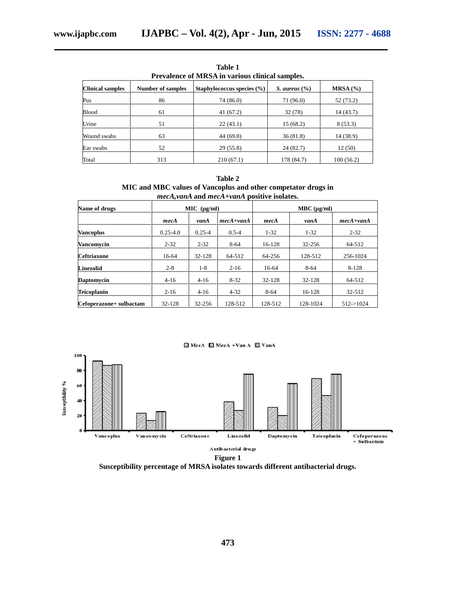**Table 1 Prevalence of MRSA in various clinical samples.**

| <b>Clinical samples</b> | <b>Number of samples</b> | Staphylococcus species $(\% )$ | S. aureus $(\% )$ | MRSA(%)   |  |
|-------------------------|--------------------------|--------------------------------|-------------------|-----------|--|
| Pus                     | 86                       | 74 (86.0)                      | 71 (96.0)         | 52 (73.2) |  |
| <b>Blood</b>            | 61                       | 41(67.2)                       | 32 (78)           | 14(43.7)  |  |
| Urine                   | 51                       | 22(43.1)                       | 15 (68.2)         | 8(53.3)   |  |
| Wound swabs             | 63                       | 44 (69.8)                      | 36(81.8)          | 14 (38.9) |  |
| Ear swabs               | 52                       | 29(55.8)                       | 24(82.7)          | 12(50)    |  |
| Total                   | 313                      | 210(67.1)                      | 178 (84.7)        | 100(56.2) |  |

**Table 2 MIC and MBC values of Vancoplus and other competator drugs in** *mecA,vanA* **and** *mecA+vanA* **positive isolates.**

| Name of drugs           | MIC (µg/ml)  |            |               | MBC (µg/ml) |          |               |
|-------------------------|--------------|------------|---------------|-------------|----------|---------------|
|                         | mecA         | vanA       | $mech + vanA$ | mecA        | vanA     | $mech + vanA$ |
| <b>Vancoplus</b>        | $0.25 - 4.0$ | $0.25 - 4$ | $0.5 - 4$     | $1 - 32$    | $1 - 32$ | $2 - 32$      |
| <b>Vancomycin</b>       | $2 - 32$     | $2 - 32$   | $8 - 64$      | 16-128      | 32-256   | 64-512        |
| <b>Ceftriaxone</b>      | 16-64        | 32-128     | 64-512        | 64-256      | 128-512  | 256-1024      |
| <b>Linezolid</b>        | $2 - 8$      | $1 - 8$    | $2 - 16$      | 16-64       | $8 - 64$ | 8-128         |
| <b>Daptomycin</b>       | $4 - 16$     | $4 - 16$   | $8 - 32$      | 32-128      | 32-128   | 64-512        |
| <b>Teicoplanin</b>      | $2 - 16$     | $4 - 16$   | $4 - 32$      | $8 - 64$    | 16-128   | 32-512        |
| Cefoperazone+ sulbactam | 32-128       | 32-256     | 128-512       | 128-512     | 128-1024 | $512 - 1024$  |



**Susceptibility percentage of MRSA isolates towards different antibacterial drugs.**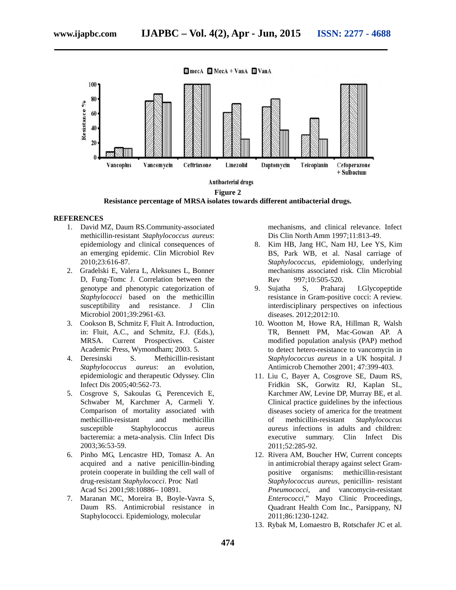



#### **REFERENCES**

- 1. David MZ, Daum RS.Community-associated methicillin-resistant *Staphylococcus aureus*: epidemiology and clinical consequences of an emerging epidemic. Clin Microbiol Rev 2010;23:616-87.
- 2. Gradelski E, Valera L, Aleksunes L, Bonner D, Fung-Tomc J. Correlation between the genotype and phenotypic categorization of *Staphylococci* based on the methicillin susceptibility and resistance. J Clin Microbiol 2001;39:2961-63.
- 3. Cookson B, Schmitz F, Fluit A. Introduction, in: Fluit, A.C., and Schmitz, F.J. (Eds.), MRSA. Current Prospectives. Caister Academic Press, Wymondham; 2003. 5.
- 4. Deresinski S. Methicillin-resistant *Staphylococcus aureus*: an evolution, epidemiologic and therapeutic Odyssey. Clin Infect Dis 2005;40:562-73.
- 5. Cosgrove S, Sakoulas G, Perencevich E, Schwaber M, Karchmer A, Carmeli Y. Comparison of mortality associated with methicillin-resistant and methicillin susceptible Staphylococcus aureus bacteremia: a meta-analysis. Clin Infect Dis 2003;36:53-59.
- 6. Pinho MG, Lencastre HD, Tomasz A. An acquired and a native penicillin-binding protein cooperate in building the cell wall of drug-resistant *Staphylococci*. Proc Natl Acad Sci 2001;98:10886– 10891.
- 7. Maranan MC, Moreira B, Boyle-Vavra S, Daum RS. Antimicrobial resistance in Staphylococci. Epidemiology, molecular

mechanisms, and clinical relevance. Infect Dis Clin North Amm 1997;11:813-49.

- 8. Kim HB, Jang HC, Nam HJ, Lee YS, Kim BS, Park WB, et al. Nasal carriage of *Staphylococcus, e*pidemiology, underlying mechanisms associated risk. Clin Microbial Rev 997;10:505-520.
- 9. Sujatha S, Praharaj I.Glycopeptide resistance in Gram-positive cocci: A review. interdisciplinary perspectives on infectious diseases. 2012;2012:10.
- 10. Wootton M, Howe RA, Hillman R, Walsh TR, Bennett PM, Mac-Gowan AP. A modified population analysis (PAP) method to detect hetero-resistance to vancomycin in *Staphylococcus aureus* in a UK hospital. J Antimicrob Chemother 2001; 47:399-403.
- 11. Liu C, Bayer A, Cosgrove SE, Daum RS, Fridkin SK, Gorwitz RJ, Kaplan SL, Karchmer AW, Levine DP, Murray BE, et al. Clinical practice guidelines by the infectious diseases society of america for the treatment of methicillin-resistant *Staphylococcus aureus* infections in adults and children: executive summary. Clin Infect Dis 2011;52:285-92.
- 12. Rivera AM, Boucher HW, Current concepts in antimicrobial therapy against select Gram positive organisms: methicillin-resistant *Staphylococcus aureus*, penicillin- resistant *Pneumococci*, and vancomycin-resistant *Enterococci*," Mayo Clinic Proceedings, Quadrant Health Com Inc., Parsippany, NJ 2011;86:1230-1242.
- 13. Rybak M, Lomaestro B, Rotschafer JC et al.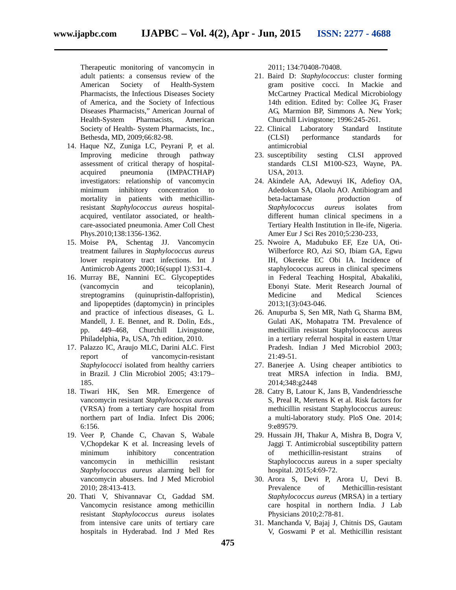Therapeutic monitoring of vancomycin in adult patients: a consensus review of the American Society of Health-System Pharmacists, the Infectious Diseases Society of America, and the Society of Infectious Diseases Pharmacists," American Journal of Health-System Pharmacists, American Society of Health- System Pharmacists, Inc., Bethesda, MD, 2009;66:82-98.

- 14. Haque NZ, Zuniga LC, Peyrani P, et al. Improving medicine through pathway assessment of critical therapy of hospital acquired pneumonia (IMPACTHAP) investigators: relationship of vancomycin minimum inhibitory concentration to mortality in patients with methicillinresistant *Staphylococcus aureus* hospital acquired, ventilator associated, or health care-associated pneumonia. Amer Coll Chest Phys.2010;138:1356-1362.
- 15. Moise PA, Schentag JJ. Vancomycin treatment failures in *Staphylococcus aureus* lower respiratory tract infections. Int J Antimicrob Agents 2000;16(suppl 1):S31-4.
- 16. Murray BE, Nannini EC. Glycopeptides (vancomycin and teicoplanin), streptogramins (quinupristin-dalfopristin), and lipopeptides (daptomycin) in principles and practice of infectious diseases, G. L. Mandell, J. E. Bennet, and R. Dolin, Eds., pp. 449–468, Churchill Livingstone, Philadelphia, Pa, USA, 7th edition, 2010.
- 17. Palazzo IC, Araujo MLC, Darini ALC. First report of vancomycin-resistant *Staphylococci* isolated from healthy carriers in Brazil. J Clin Microbiol 2005; 43:179– 185.
- 18. Tiwari HK, Sen MR. Emergence of vancomycin resistant *Staphylococcus aureus* (VRSA) from a tertiary care hospital from northern part of India. Infect Dis 2006; 6:156.
- 19. Veer P, Chande C, Chavan S, Wabale V,Chopdekar K et al. Increasing levels of minimum inhibitory concentration vancomycin in methicillin resistant *Staphylococcus aureus* alarming bell for vancomycin abusers. Ind J Med Microbiol 2010; 28:413-413.
- 20. Thati V, Shivannavar Ct, Gaddad SM. Vancomycin resistance among methicillin resistant *Staphylococcus aureus* isolates from intensive care units of tertiary care hospitals in Hyderabad. Ind J Med Res

2011; 134:70408-70408.

- 21. Baird D: *Staphylococcus*: cluster forming gram positive cocci. In Mackie and McCartney Practical Medical Microbiology 14th edition. Edited by: Collee JG, Fraser AG, Marmion BP, Simmons A. New York; Churchill Livingstone; 1996:245-261.
- 22. Clinical Laboratory Standard Institute (CLSI) performance standards for antimicrobial
- 23. susceptibility sesting CLSI approved standards CLSI M100-S23, Wayne, PA. USA, 2013.
- 24. Akindele AA, Adewuyi IK, Adefioy OA, Adedokun SA, Olaolu AO. Antibiogram and beta-lactamase production of *Staphylococcus aureus* isolates from different human clinical specimens in a Tertiary Health Institution in Ile-ife, Nigeria. Amer Eur J Sci Res 2010;5:230-233,
- 25. Nwoire A, Madubuko EF, Eze UA, Oti- Wilberforce RO, Azi SO, Ibiam GA, Egwu IH, Okereke EC Obi IA. Incidence of staphylococcus aureus in clinical specimens in Federal Teaching Hospital, Abakaliki, Ebonyi State. Merit Research Journal of Medicine and Medical Sciences 2013;1(3):043-046.
- 26. Anupurba S, Sen MR, Nath G, Sharma BM, Gulati AK, Mohapatra TM. Prevalence of methicillin resistant Staphylococcus aureus in a tertiary referral hospital in eastern Uttar Pradesh. Indian J Med Microbiol 2003; 21:49-51.
- 27. Banerjee A. Using cheaper antibiotics to treat MRSA infection in India. BMJ, 2014;348:g2448
- 28. Catry B, Latour K, Jans B, Vandendriessche S, Preal R, Mertens K et al. Risk factors for methicillin resistant Staphylococcus aureus: a multi-laboratory study. PloS One. 2014; 9:e89579.
- 29. Hussain JH, Thakur A, Mishra B, Dogra V, Jaggi T. Antimicrobial susceptibility pattern of methicillin-resistant strains of Staphylococcus aureus in a super specialty hospital. 2015;4:69-72.
- 30. Arora S, Devi P, Arora U, Devi B. Prevalence of Methicillin-resistant *Staphylococcus aureus* (MRSA) in a tertiary care hospital in northern India. J Lab Physicians 2010;2:78-81.
- 31. Manchanda V, Bajaj J, Chitnis DS, Gautam V, Goswami P et al. Methicillin resistant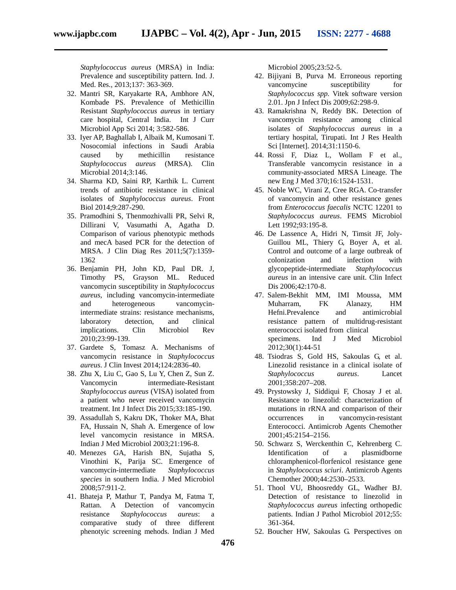*Staphylococcus aureus* (MRSA) in India: Prevalence and susceptibility pattern. Ind. J. Med. Res., 2013;137: 363-369.

- 32. Mantri SR, Karyakarte RA, Ambhore AN, Kombade PS. Prevalence of Methicillin Resistant *Staphylococcus aureus* in tertiary care hospital, Central India. Int J Curr Microbiol App Sci 2014; 3:582-586.
- 33. Iyer AP, Baghallab I, Albaik M, Kumosani T. Nosocomial infections in Saudi Arabia caused by methicillin resistance *Staphylococcus aureus* (MRSA). Clin Microbial 2014;3:146.
- 34. Sharma KD, Saini RP, Karthik L. Current trends of antibiotic resistance in clinical isolates of *Staphylococcus aureus*. Front Biol 2014;9:287-290.
- 35. Pramodhini S, Thenmozhivalli PR, Selvi R, Dillirani V, Vasumathi A, Agatha D. Comparison of various phenotypic methods and mecA based PCR for the detection of MRSA. J Clin Diag Res 2011;5(7):1359- 1362
- 36. Benjamin PH, John KD, Paul DR. J, Timothy PS, Grayson ML. Reduced vancomycin susceptibility in *Staphylococcus aureus*, including vancomycin-intermediate and heterogeneous vancomycinintermediate strains: resistance mechanisms, laboratory detection, and clinical implications. Clin Microbiol Rev 2010;23:99-139.
- 37. Gardete S, Tomasz A. Mechanisms of vancomycin resistance in *Staphylococcus aureus*. J Clin Invest 2014;124:2836-40.
- 38. Zhu X, Liu C, Gao S, Lu Y, Chen Z, Sun Z. Vancomycin intermediate-Resistant *Staphylococcus aureus* (VISA) isolated from a patient who never received vancomycin treatment. Int J Infect Dis 2015;33:185-190.
- 39. Assadullah S, Kakru DK, Thoker MA, Bhat FA, Hussain N, Shah A. Emergence of low level vancomycin resistance in MRSA. Indian J Med Microbiol 2003;21:196-8.
- 40. Menezes GA, Harish BN, Sujatha S, Vinothini K, Parija SC. Emergence of vancomycin-intermediate *Staphylococcus species* in southern India. J Med Microbiol 2008;57:911-2.
- 41. Bhateja P, Mathur T, Pandya M, Fatma T, Rattan. A Detection of vancomycin resistance *Staphylococcus aureus*: a comparative study of three different phenotyic screening mehods. Indian J Med

Microbiol 2005;23:52-5.

- 42. Bijiyani B, Purva M. Erroneous reporting vancomycine susceptibility for *Staphylococcus spp.* Vitek software version 2.01. Jpn J Infect Dis 2009;62:298-9.
- 43. Ramakrishna N, Reddy BK. Detection of vancomycin resistance among clinical isolates of *Staphylococcus aureus* in a tertiary hospital, Tirupati. Int J Res Health Sci [Internet]. 2014;31:1150-6.
- 44. Rossi F, Diaz L, Wollam F et al., Transferable vancomycin resistance in a community-associated MRSA Lineage. The new Eng J Med 370;16:1524-1531.
- 45. Noble WC, Virani Z, Cree RGA. Co-transfer of vancomycin and other resistance genes from *Enterococcus faecalis* NCTC 12201 to *Staphylococcus aureus*. FEMS Microbiol Lett 1992;93:195-8.
- 46. De Lassence A, Hidri N, Timsit JF, Joly- Guillou ML, Thiery G, Boyer A, et al. Control and outcome of a large outbreak of colonization and infection with glycopeptide-intermediate *Staphylococcus aureus* in an intensive care unit. Clin Infect Dis 2006;42:170-8.
- 47. Salem-Bekhit MM, IMI Moussa, MM Muharram, FK Alanazy, HM Hefni.Prevalence and antimicrobial resistance pattern of multidrug-resistant enterococci isolated from clinical specimens. Ind J Med Microbiol 2012;30(1):44-51
- 48. Tsiodras S, Gold HS, Sakoulas G, et al. Linezolid resistance in a clinical isolate of *Staphylococcus aureus*. Lancet 2001;358:207–208.
- 49. Prystowsky J, Siddiqui F, Chosay J et al. Resistance to linezolid: characterization of mutations in rRNA and comparison of their occurrences in vancomycin-resistant Enterococci. Antimicrob Agents Chemother 2001;45:2154–2156.
- 50. Schwarz S, Werckenthin C, Kehrenberg C. Identification of a plasmidborne chloramphenicol-florfenicol resistance gene in *Staphylococcus sciuri*. Antimicrob Agents Chemother 2000;44:2530–2533.
- 51. Thool VU, Bhoosreddy GL, Wadher BJ. Detection of resistance to linezolid in *Staphylococcus aureus* infecting orthopedic patients. Indian J Pathol Microbiol 2012;55: 361-364.
- 52. Boucher HW, Sakoulas G. Perspectives on

**476**